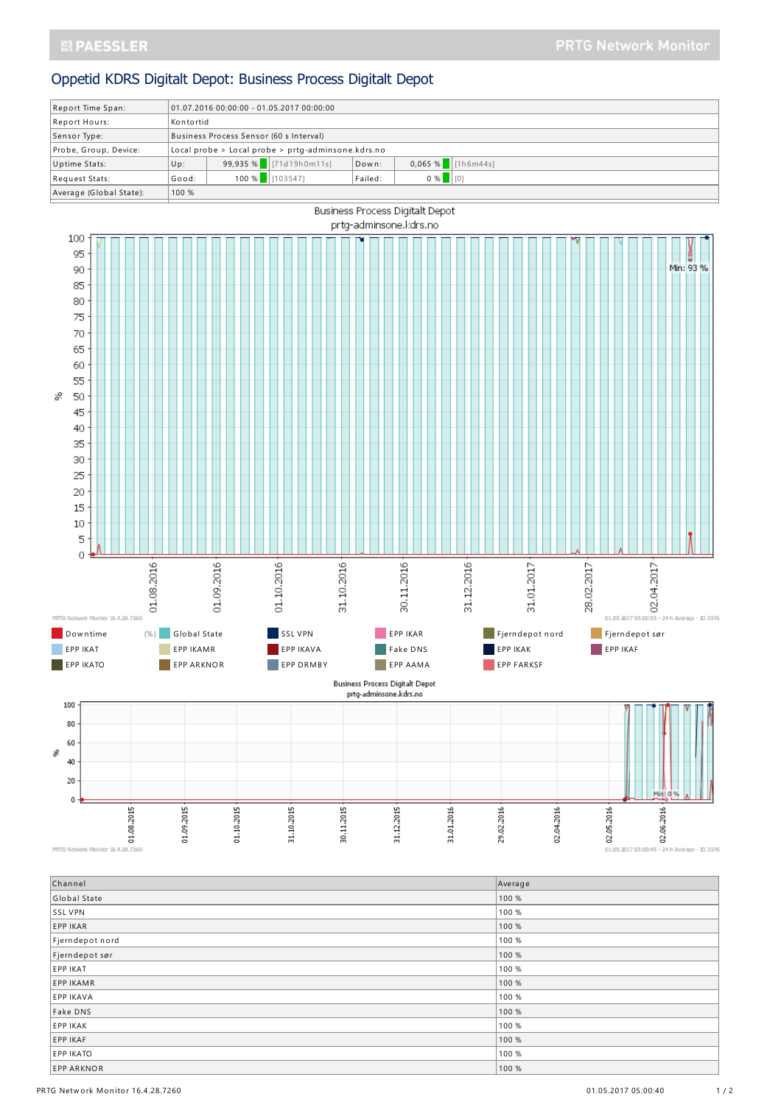## Oppetid KDRS Digitalt Depot: Business Process Digitalt Depot





PRTG Network Monitor 16.4.28.7260

| Channel           | Average |
|-------------------|---------|
| Global State      | 100 %   |
| SSL VPN           | 100 %   |
| EPP IKAR          | 100 %   |
| Fjerndepot nord   | 100 %   |
| Fjerndepot sør    | 100 %   |
| EPP IKAT          | 100 %   |
| <b>EPP IKAMR</b>  | 100 %   |
| <b>EPP IKAVA</b>  | 100 %   |
| Fake DNS          | 100 %   |
| <b>EPP IKAK</b>   | 100 %   |
| EPP IKAF          | 100 %   |
| <b>EPP IKATO</b>  | 100 %   |
| <b>EPP ARKNOR</b> | 100 %   |

01.05.2017 05:00:15 - 24 h Average - ID 3376